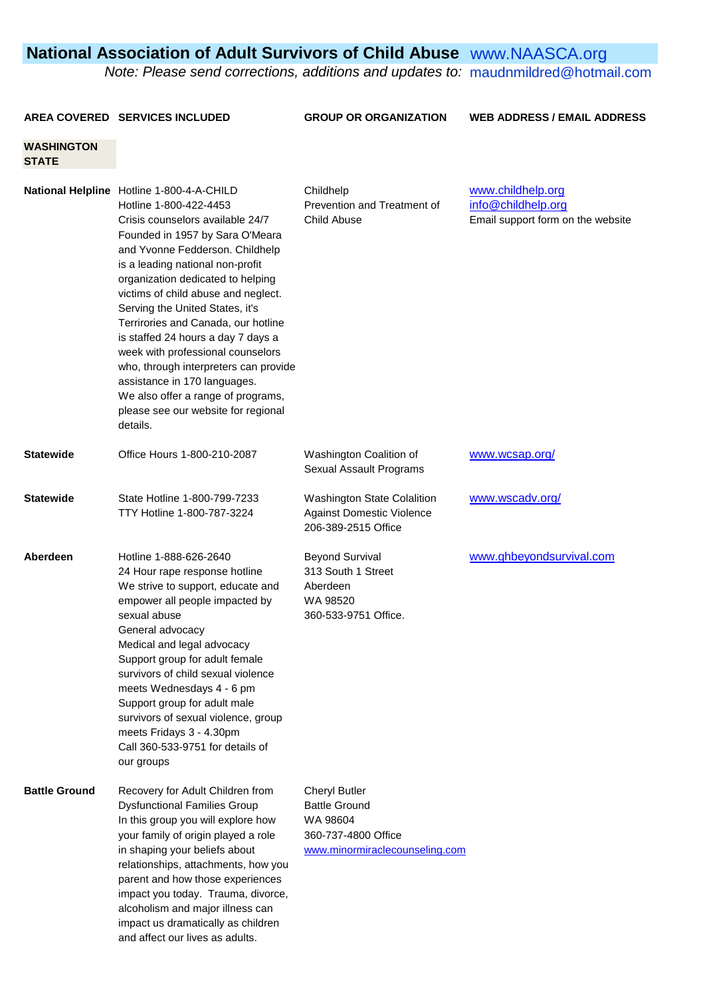## **National Association of Adult Survivors of Child Abuse [www.NAASCA.org](http://www.naasca.org/)**

Note: Please send corrections, additions and updates to: [maudnmildred@hotmail.com](mailto:maudnmildred@hotmail.com)

**AREA COVERED SERVICES INCLUDED GROUP OR ORGANIZATION WEB ADDRESS / EMAIL ADDRESS**

## **WASHINGTON STATE**

|                      | National Helpline Hotline 1-800-4-A-CHILD<br>Hotline 1-800-422-4453<br>Crisis counselors available 24/7<br>Founded in 1957 by Sara O'Meara<br>and Yvonne Fedderson. Childhelp<br>is a leading national non-profit<br>organization dedicated to helping<br>victims of child abuse and neglect.<br>Serving the United States, it's<br>Terrirories and Canada, our hotline<br>is staffed 24 hours a day 7 days a<br>week with professional counselors<br>who, through interpreters can provide<br>assistance in 170 languages.<br>We also offer a range of programs,<br>please see our website for regional<br>details. | Childhelp<br>Prevention and Treatment of<br>Child Abuse                                                           | www.childhelp.org<br>info@childhelp.org<br>Email support form on the website |
|----------------------|----------------------------------------------------------------------------------------------------------------------------------------------------------------------------------------------------------------------------------------------------------------------------------------------------------------------------------------------------------------------------------------------------------------------------------------------------------------------------------------------------------------------------------------------------------------------------------------------------------------------|-------------------------------------------------------------------------------------------------------------------|------------------------------------------------------------------------------|
| <b>Statewide</b>     | Office Hours 1-800-210-2087                                                                                                                                                                                                                                                                                                                                                                                                                                                                                                                                                                                          | Washington Coalition of<br>Sexual Assault Programs                                                                | www.wcsap.org/                                                               |
| <b>Statewide</b>     | State Hotline 1-800-799-7233<br>TTY Hotline 1-800-787-3224                                                                                                                                                                                                                                                                                                                                                                                                                                                                                                                                                           | Washington State Colalition<br><b>Against Domestic Violence</b><br>206-389-2515 Office                            | www.wscadv.org/                                                              |
| Aberdeen             | Hotline 1-888-626-2640<br>24 Hour rape response hotline<br>We strive to support, educate and<br>empower all people impacted by<br>sexual abuse<br>General advocacy<br>Medical and legal advocacy<br>Support group for adult female<br>survivors of child sexual violence<br>meets Wednesdays 4 - 6 pm<br>Support group for adult male<br>survivors of sexual violence, group<br>meets Fridays 3 - 4.30pm<br>Call 360-533-9751 for details of<br>our groups                                                                                                                                                           | <b>Beyond Survival</b><br>313 South 1 Street<br>Aberdeen<br>WA 98520<br>360-533-9751 Office.                      | www.ghbeyondsurvival.com                                                     |
| <b>Battle Ground</b> | Recovery for Adult Children from<br><b>Dysfunctional Families Group</b><br>In this group you will explore how<br>your family of origin played a role<br>in shaping your beliefs about<br>relationships, attachments, how you<br>parent and how those experiences<br>impact you today. Trauma, divorce,<br>alcoholism and major illness can<br>impact us dramatically as children<br>and affect our lives as adults.                                                                                                                                                                                                  | <b>Cheryl Butler</b><br><b>Battle Ground</b><br>WA 98604<br>360-737-4800 Office<br>www.minormiraclecounseling.com |                                                                              |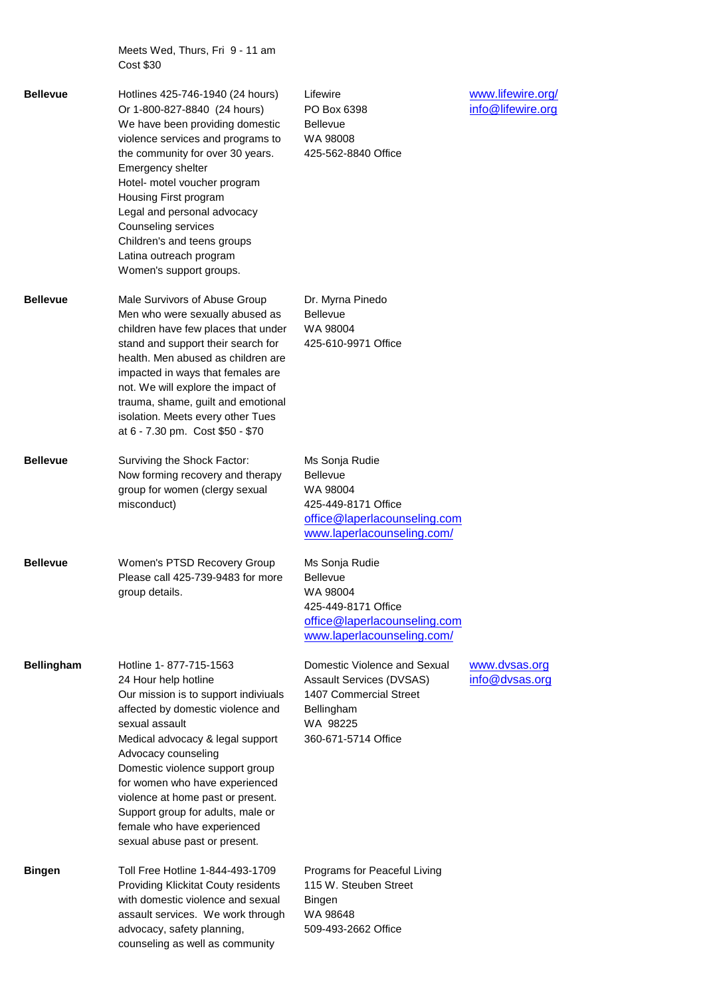Meets Wed, Thurs, Fri 9 - 11 am Cost \$30

| <b>Bellevue</b>   | Hotlines 425-746-1940 (24 hours)<br>Or 1-800-827-8840 (24 hours)<br>We have been providing domestic<br>violence services and programs to<br>the community for over 30 years.<br>Emergency shelter<br>Hotel- motel voucher program<br>Housing First program<br>Legal and personal advocacy<br>Counseling services<br>Children's and teens groups<br>Latina outreach program<br>Women's support groups.                   | Lifewire<br>PO Box 6398<br><b>Bellevue</b><br>WA 98008<br>425-562-8840 Office                                                       | www.lifewire.org/<br>info@lifewire.org |
|-------------------|-------------------------------------------------------------------------------------------------------------------------------------------------------------------------------------------------------------------------------------------------------------------------------------------------------------------------------------------------------------------------------------------------------------------------|-------------------------------------------------------------------------------------------------------------------------------------|----------------------------------------|
| <b>Bellevue</b>   | Male Survivors of Abuse Group<br>Men who were sexually abused as<br>children have few places that under<br>stand and support their search for<br>health. Men abused as children are<br>impacted in ways that females are<br>not. We will explore the impact of<br>trauma, shame, guilt and emotional<br>isolation. Meets every other Tues<br>at 6 - 7.30 pm. Cost \$50 - \$70                                           | Dr. Myrna Pinedo<br><b>Bellevue</b><br>WA 98004<br>425-610-9971 Office                                                              |                                        |
| <b>Bellevue</b>   | Surviving the Shock Factor:<br>Now forming recovery and therapy<br>group for women (clergy sexual<br>misconduct)                                                                                                                                                                                                                                                                                                        | Ms Sonja Rudie<br><b>Bellevue</b><br>WA 98004<br>425-449-8171 Office<br>office@laperlacounseling.com<br>www.laperlacounseling.com/  |                                        |
| <b>Bellevue</b>   | Women's PTSD Recovery Group<br>Please call 425-739-9483 for more<br>group details.                                                                                                                                                                                                                                                                                                                                      | Ms Sonja Rudie<br>Bellevue<br>WA 98004<br>425-449-8171 Office<br>office@laperlacounseling.com<br>www.laperlacounseling.com/         |                                        |
| <b>Bellingham</b> | Hotline 1-877-715-1563<br>24 Hour help hotline<br>Our mission is to support indiviuals<br>affected by domestic violence and<br>sexual assault<br>Medical advocacy & legal support<br>Advocacy counseling<br>Domestic violence support group<br>for women who have experienced<br>violence at home past or present.<br>Support group for adults, male or<br>female who have experienced<br>sexual abuse past or present. | Domestic Violence and Sexual<br>Assault Services (DVSAS)<br>1407 Commercial Street<br>Bellingham<br>WA 98225<br>360-671-5714 Office | www.dvsas.org<br>info@dvsas.org        |
| Bingen            | Toll Free Hotline 1-844-493-1709<br>Providing Klickitat Couty residents<br>with domestic violence and sexual<br>assault services. We work through<br>advocacy, safety planning,<br>counseling as well as community                                                                                                                                                                                                      | Programs for Peaceful Living<br>115 W. Steuben Street<br><b>Bingen</b><br>WA 98648<br>509-493-2662 Office                           |                                        |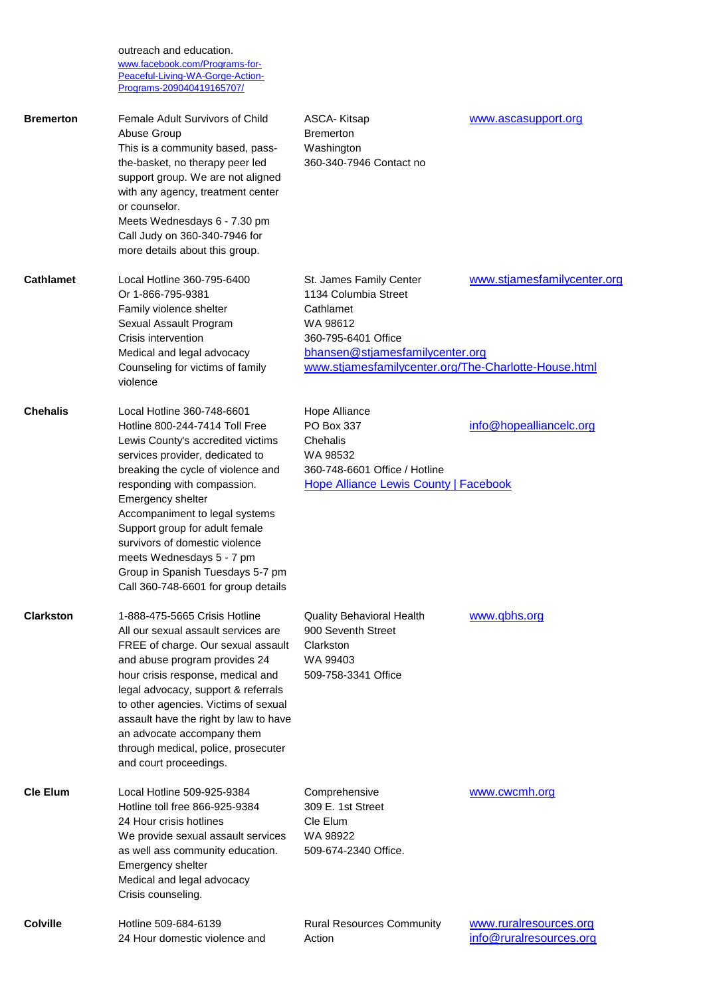outreach and education. [www.facebook.com/Programs-for-](http://www.facebook.com/Programs-for-Peaceful-Living-WA-Gorge-Action-Programs-209040419165707/)[Peaceful-Living-WA-Gorge-Action-](http://www.facebook.com/Programs-for-Peaceful-Living-WA-Gorge-Action-Programs-209040419165707/)

[Programs-209040419165707/](http://www.facebook.com/Programs-for-Peaceful-Living-WA-Gorge-Action-Programs-209040419165707/)

**Bremerton** Female Adult Survivors of Child ASCA- Kitsap [www.ascasupport.org](http://www.ascasupport.org/) Abuse Group **Bremerton** This is a community based, pass- Washington the-basket, no therapy peer led 360-340-7946 Contact no support group. We are not aligned with any agency, treatment center or counselor. Meets Wednesdays 6 - 7.30 pm Call Judy on 360-340-7946 for more details about this group. **Cathlamet** Local Hotline 360-795-6400 St. James Family Center [www.stjamesfamilycenter.org](http://www.stjamesfamilycenter.org/) Or 1-866-795-9381 1134 Columbia Street Family violence shelter **Cathlamet** Sexual Assault Program WA 98612 Crisis intervention 360-795-6401 Office Medical and legal advocacy [bhansen@stjamesfamilycenter.org](mailto:bhansen@stjamesfamilycenter.org) Counseling for victims of family [www.stjamesfamilycenter.org/The-Charlotte-House.html](http://www.stjamesfamilycenter.org/The-Charlotte-House.html) violence **Chehalis** Local Hotline 360-748-6601 Hope Alliance Hotline 800-244-7414 Toll Free PO Box 337 **[info@hopealliancelc.org](mailto:info@hopealliancelc.org)** Lewis County's accredited victims Chehalis services provider, dedicated to WA 98532 breaking the cycle of violence and 360-748-6601 Office / Hotline responding with compassion. [Hope Alliance Lewis County | Facebook](https://www.facebook.com/hopealliancelc/?ref=page_internal) Emergency shelter Accompaniment to legal systems Support group for adult female survivors of domestic violence meets Wednesdays 5 - 7 pm Group in Spanish Tuesdays 5-7 pm Call 360-748-6601 for group details **Clarkston** 1-888-475-5665 Crisis Hotline Quality Behavioral Health [www.qbhs.org](http://www.qbhs.org/) All our sexual assault services are 900 Seventh Street FREE of charge. Our sexual assault Clarkston and abuse program provides 24 WA 99403 hour crisis response, medical and 509-758-3341 Office legal advocacy, support & referrals to other agencies. Victims of sexual assault have the right by law to have an advocate accompany them through medical, police, prosecuter and court proceedings. **Cle Elum** Local Hotline 509-925-9384 Comprehensive [www.cwcmh.org](http://www.cwcmh.org/) Hotline toll free 866-925-9384 309 E. 1st Street 24 Hour crisis hotlines Cle Elum We provide sexual assault services WA 98922 as well ass community education. 509-674-2340 Office. Emergency shelter Medical and legal advocacy Crisis counseling. **Colville** Hotline 509-684-6139 Rural Resources Community [www.ruralresources.org](http://www.ruralresources.org/) 24 Hour domestic violence and action [info@ruralresources.org](mailto:info@ruralresources.org)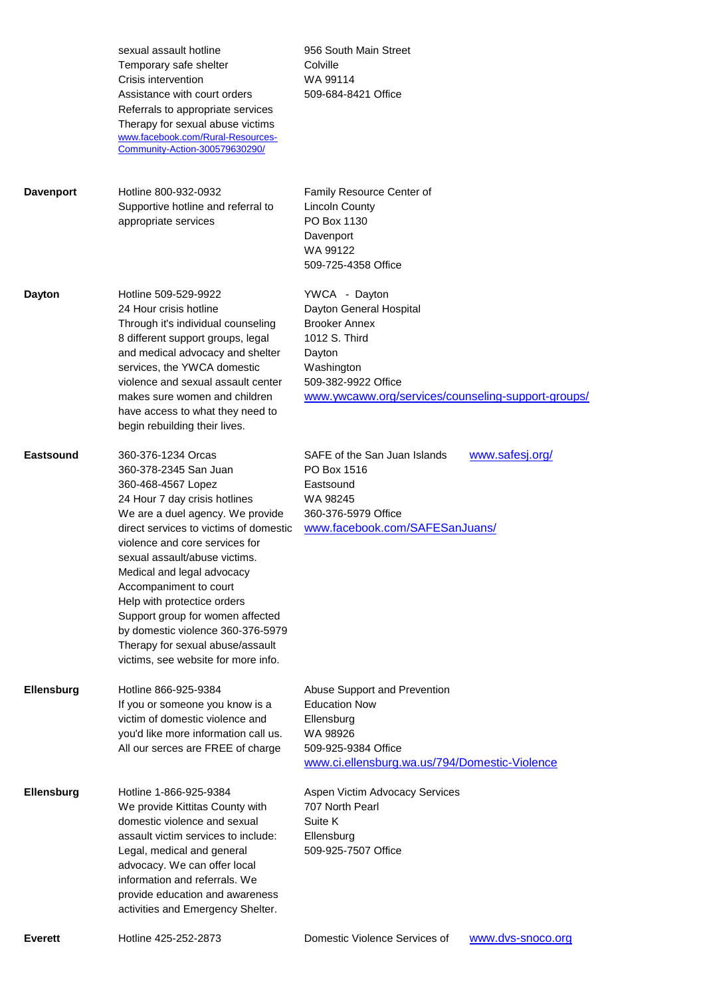|                  | sexual assault hotline<br>Temporary safe shelter<br>Crisis intervention<br>Assistance with court orders<br>Referrals to appropriate services<br>Therapy for sexual abuse victims<br>www.facebook.com/Rural-Resources-<br>Community-Action-300579630290/                                                                                                                                                                                                                                        | 956 South Main Street<br>Colville<br>WA 99114<br>509-684-8421 Office                                                                                                                   |
|------------------|------------------------------------------------------------------------------------------------------------------------------------------------------------------------------------------------------------------------------------------------------------------------------------------------------------------------------------------------------------------------------------------------------------------------------------------------------------------------------------------------|----------------------------------------------------------------------------------------------------------------------------------------------------------------------------------------|
| <b>Davenport</b> | Hotline 800-932-0932<br>Supportive hotline and referral to<br>appropriate services                                                                                                                                                                                                                                                                                                                                                                                                             | Family Resource Center of<br><b>Lincoln County</b><br>PO Box 1130<br>Davenport<br>WA 99122<br>509-725-4358 Office                                                                      |
| <b>Dayton</b>    | Hotline 509-529-9922<br>24 Hour crisis hotline<br>Through it's individual counseling<br>8 different support groups, legal<br>and medical advocacy and shelter<br>services, the YWCA domestic<br>violence and sexual assault center<br>makes sure women and children<br>have access to what they need to<br>begin rebuilding their lives.                                                                                                                                                       | YWCA - Dayton<br>Dayton General Hospital<br><b>Brooker Annex</b><br>1012 S. Third<br>Dayton<br>Washington<br>509-382-9922 Office<br>www.ywcaww.org/services/counseling-support-groups/ |
| Eastsound        | 360-376-1234 Orcas<br>360-378-2345 San Juan<br>360-468-4567 Lopez<br>24 Hour 7 day crisis hotlines<br>We are a duel agency. We provide<br>direct services to victims of domestic<br>violence and core services for<br>sexual assault/abuse victims.<br>Medical and legal advocacy<br>Accompaniment to court<br>Help with protectice orders<br>Support group for women affected<br>by domestic violence 360-376-5979<br>Therapy for sexual abuse/assault<br>victims, see website for more info. | SAFE of the San Juan Islands<br>www.safesj.org/<br>PO Box 1516<br>Eastsound<br>WA 98245<br>360-376-5979 Office<br>www.facebook.com/SAFESanJuans/                                       |
| Ellensburg       | Hotline 866-925-9384<br>If you or someone you know is a<br>victim of domestic violence and<br>you'd like more information call us.<br>All our serces are FREE of charge                                                                                                                                                                                                                                                                                                                        | Abuse Support and Prevention<br><b>Education Now</b><br>Ellensburg<br>WA 98926<br>509-925-9384 Office<br>www.ci.ellensburg.wa.us/794/Domestic-Violence                                 |
| Ellensburg       | Hotline 1-866-925-9384<br>We provide Kittitas County with<br>domestic violence and sexual<br>assault victim services to include:<br>Legal, medical and general<br>advocacy. We can offer local<br>information and referrals. We<br>provide education and awareness<br>activities and Emergency Shelter.                                                                                                                                                                                        | Aspen Victim Advocacy Services<br>707 North Pearl<br>Suite K<br>Ellensburg<br>509-925-7507 Office                                                                                      |
| <b>Everett</b>   | Hotline 425-252-2873                                                                                                                                                                                                                                                                                                                                                                                                                                                                           | www.dvs-snoco.org<br>Domestic Violence Services of                                                                                                                                     |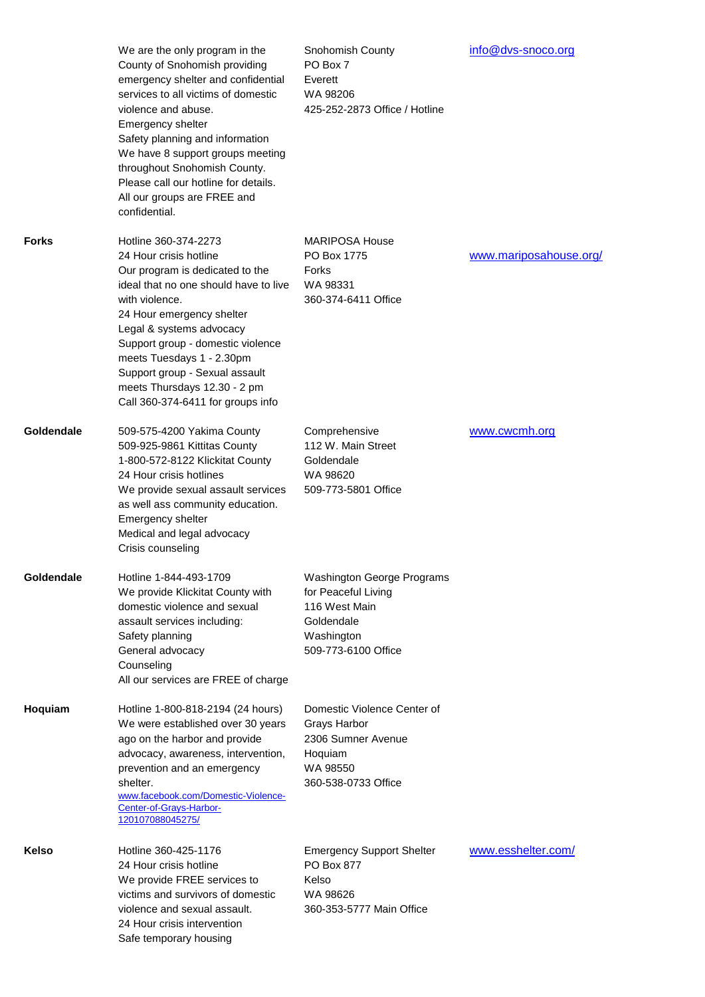|            | We are the only program in the<br>County of Snohomish providing<br>emergency shelter and confidential<br>services to all victims of domestic<br>violence and abuse.<br>Emergency shelter<br>Safety planning and information<br>We have 8 support groups meeting<br>throughout Snohomish County.<br>Please call our hotline for details.<br>All our groups are FREE and<br>confidential. | Snohomish County<br>PO Box 7<br>Everett<br>WA 98206<br>425-252-2873 Office / Hotline                                   | info@dvs-snoco.org     |
|------------|-----------------------------------------------------------------------------------------------------------------------------------------------------------------------------------------------------------------------------------------------------------------------------------------------------------------------------------------------------------------------------------------|------------------------------------------------------------------------------------------------------------------------|------------------------|
| Forks      | Hotline 360-374-2273<br>24 Hour crisis hotline<br>Our program is dedicated to the<br>ideal that no one should have to live<br>with violence.<br>24 Hour emergency shelter<br>Legal & systems advocacy<br>Support group - domestic violence<br>meets Tuesdays 1 - 2.30pm<br>Support group - Sexual assault<br>meets Thursdays 12.30 - 2 pm<br>Call 360-374-6411 for groups info          | <b>MARIPOSA House</b><br>PO Box 1775<br>Forks<br>WA 98331<br>360-374-6411 Office                                       | www.mariposahouse.org/ |
| Goldendale | 509-575-4200 Yakima County<br>509-925-9861 Kittitas County<br>1-800-572-8122 Klickitat County<br>24 Hour crisis hotlines<br>We provide sexual assault services<br>as well ass community education.<br>Emergency shelter<br>Medical and legal advocacy<br>Crisis counseling                                                                                                              | Comprehensive<br>112 W. Main Street<br>Goldendale<br>WA 98620<br>509-773-5801 Office                                   | www.cwcmh.org          |
| Goldendale | Hotline 1-844-493-1709<br>We provide Klickitat County with<br>domestic violence and sexual<br>assault services including:<br>Safety planning<br>General advocacy<br>Counseling<br>All our services are FREE of charge                                                                                                                                                                   | Washington George Programs<br>for Peaceful Living<br>116 West Main<br>Goldendale<br>Washington<br>509-773-6100 Office  |                        |
| Hoquiam    | Hotline 1-800-818-2194 (24 hours)<br>We were established over 30 years<br>ago on the harbor and provide<br>advocacy, awareness, intervention,<br>prevention and an emergency<br>shelter.<br>www.facebook.com/Domestic-Violence-<br>Center-of-Grays-Harbor-<br>120107088045275/                                                                                                          | Domestic Violence Center of<br><b>Grays Harbor</b><br>2306 Sumner Avenue<br>Hoquiam<br>WA 98550<br>360-538-0733 Office |                        |
| Kelso      | Hotline 360-425-1176<br>24 Hour crisis hotline<br>We provide FREE services to<br>victims and survivors of domestic<br>violence and sexual assault.<br>24 Hour crisis intervention<br>Safe temporary housing                                                                                                                                                                             | <b>Emergency Support Shelter</b><br>PO Box 877<br>Kelso<br>WA 98626<br>360-353-5777 Main Office                        | www.esshelter.com/     |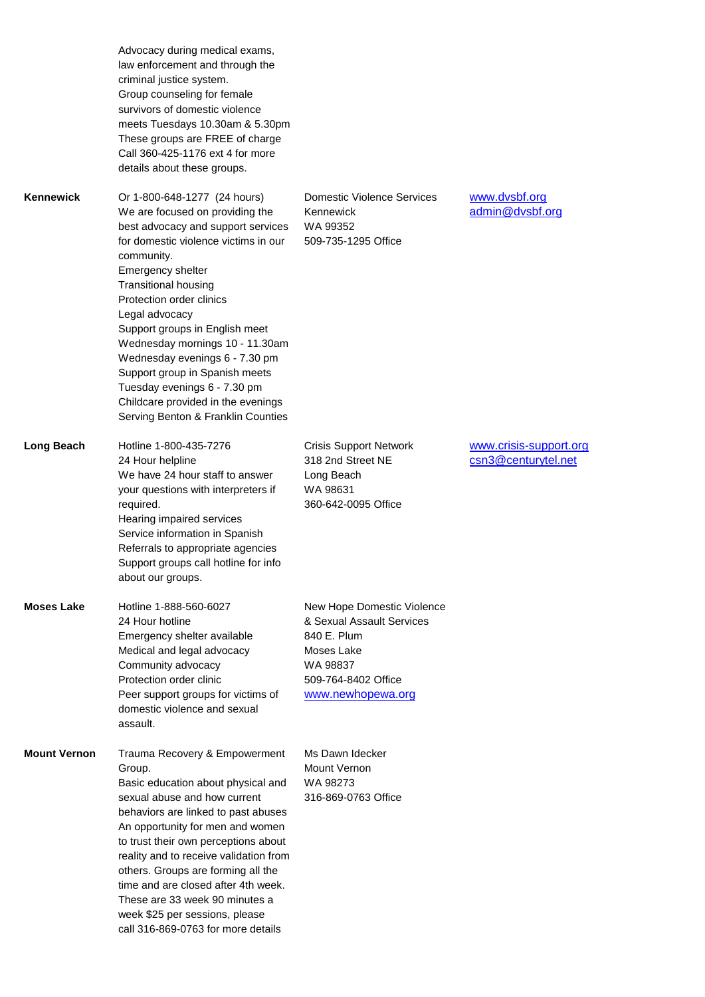|                     | Advocacy during medical exams,<br>law enforcement and through the<br>criminal justice system.<br>Group counseling for female<br>survivors of domestic violence<br>meets Tuesdays 10.30am & 5.30pm<br>These groups are FREE of charge<br>Call 360-425-1176 ext 4 for more<br>details about these groups.                                                                                                                                                                                                            |                                                                                                                                              |                                               |
|---------------------|--------------------------------------------------------------------------------------------------------------------------------------------------------------------------------------------------------------------------------------------------------------------------------------------------------------------------------------------------------------------------------------------------------------------------------------------------------------------------------------------------------------------|----------------------------------------------------------------------------------------------------------------------------------------------|-----------------------------------------------|
| <b>Kennewick</b>    | Or 1-800-648-1277 (24 hours)<br>We are focused on providing the<br>best advocacy and support services<br>for domestic violence victims in our<br>community.<br>Emergency shelter<br><b>Transitional housing</b><br>Protection order clinics<br>Legal advocacy<br>Support groups in English meet<br>Wednesday mornings 10 - 11.30am<br>Wednesday evenings 6 - 7.30 pm<br>Support group in Spanish meets<br>Tuesday evenings 6 - 7.30 pm<br>Childcare provided in the evenings<br>Serving Benton & Franklin Counties | Domestic Violence Services<br>Kennewick<br>WA 99352<br>509-735-1295 Office                                                                   | www.dvsbf.org<br>admin@dvsbf.org              |
| Long Beach          | Hotline 1-800-435-7276<br>24 Hour helpline<br>We have 24 hour staff to answer<br>your questions with interpreters if<br>required.<br>Hearing impaired services<br>Service information in Spanish<br>Referrals to appropriate agencies<br>Support groups call hotline for info<br>about our groups.                                                                                                                                                                                                                 | <b>Crisis Support Network</b><br>318 2nd Street NE<br>Long Beach<br>WA 98631<br>360-642-0095 Office                                          | www.crisis-support.org<br>csn3@centurytel.net |
| <b>Moses Lake</b>   | Hotline 1-888-560-6027<br>24 Hour hotline<br>Emergency shelter available<br>Medical and legal advocacy<br>Community advocacy<br>Protection order clinic<br>Peer support groups for victims of<br>domestic violence and sexual<br>assault.                                                                                                                                                                                                                                                                          | New Hope Domestic Violence<br>& Sexual Assault Services<br>840 E. Plum<br>Moses Lake<br>WA 98837<br>509-764-8402 Office<br>www.newhopewa.org |                                               |
| <b>Mount Vernon</b> | Trauma Recovery & Empowerment<br>Group.<br>Basic education about physical and<br>sexual abuse and how current<br>behaviors are linked to past abuses<br>An opportunity for men and women<br>to trust their own perceptions about<br>reality and to receive validation from<br>others. Groups are forming all the<br>time and are closed after 4th week.<br>These are 33 week 90 minutes a<br>week \$25 per sessions, please<br>call 316-869-0763 for more details                                                  | Ms Dawn Idecker<br>Mount Vernon<br>WA 98273<br>316-869-0763 Office                                                                           |                                               |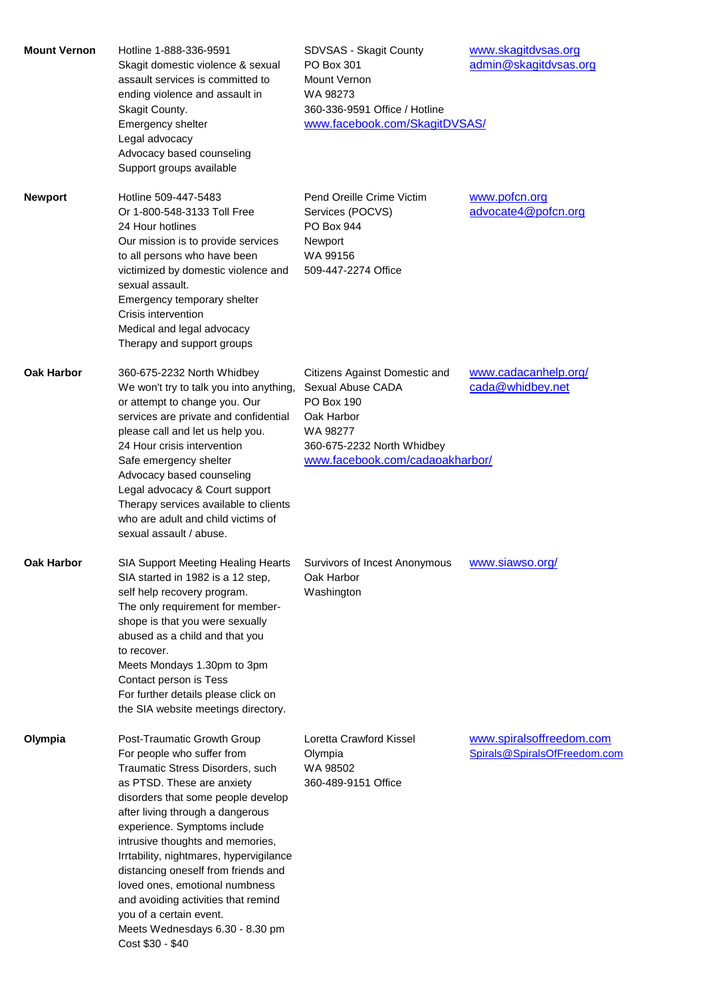| <b>Mount Vernon</b> | Hotline 1-888-336-9591<br>Skagit domestic violence & sexual<br>assault services is committed to<br>ending violence and assault in<br>Skagit County.<br>Emergency shelter<br>Legal advocacy<br>Advocacy based counseling<br>Support groups available                                                                                                                                                                                                                                                                    | SDVSAS - Skagit County<br>PO Box 301<br>Mount Vernon<br>WA 98273<br>360-336-9591 Office / Hotline<br>www.facebook.com/SkagitDVSAS/                          | www.skagitdvsas.org<br>admin@skagitdvsas.org             |
|---------------------|------------------------------------------------------------------------------------------------------------------------------------------------------------------------------------------------------------------------------------------------------------------------------------------------------------------------------------------------------------------------------------------------------------------------------------------------------------------------------------------------------------------------|-------------------------------------------------------------------------------------------------------------------------------------------------------------|----------------------------------------------------------|
| <b>Newport</b>      | Hotline 509-447-5483<br>Or 1-800-548-3133 Toll Free<br>24 Hour hotlines<br>Our mission is to provide services<br>to all persons who have been<br>victimized by domestic violence and<br>sexual assault.<br>Emergency temporary shelter<br>Crisis intervention<br>Medical and legal advocacy<br>Therapy and support groups                                                                                                                                                                                              | Pend Oreille Crime Victim<br>Services (POCVS)<br><b>PO Box 944</b><br>Newport<br>WA 99156<br>509-447-2274 Office                                            | www.pofcn.org<br>advocate4@pofcn.org                     |
| <b>Oak Harbor</b>   | 360-675-2232 North Whidbey<br>We won't try to talk you into anything,<br>or attempt to change you. Our<br>services are private and confidential<br>please call and let us help you.<br>24 Hour crisis intervention<br>Safe emergency shelter<br>Advocacy based counseling<br>Legal advocacy & Court support<br>Therapy services available to clients<br>who are adult and child victims of<br>sexual assault / abuse.                                                                                                  | Citizens Against Domestic and<br>Sexual Abuse CADA<br>PO Box 190<br>Oak Harbor<br>WA 98277<br>360-675-2232 North Whidbey<br>www.facebook.com/cadaoakharbor/ | www.cadacanhelp.org/<br>cada@whidbey.net                 |
| <b>Oak Harbor</b>   | SIA Support Meeting Healing Hearts<br>SIA started in 1982 is a 12 step,<br>self help recovery program.<br>The only requirement for member-<br>shope is that you were sexually<br>abused as a child and that you<br>to recover.<br>Meets Mondays 1.30pm to 3pm<br>Contact person is Tess<br>For further details please click on<br>the SIA website meetings directory.                                                                                                                                                  | Survivors of Incest Anonymous<br>Oak Harbor<br>Washington                                                                                                   | www.siawso.org/                                          |
| Olympia             | Post-Traumatic Growth Group<br>For people who suffer from<br>Traumatic Stress Disorders, such<br>as PTSD. These are anxiety<br>disorders that some people develop<br>after living through a dangerous<br>experience. Symptoms include<br>intrusive thoughts and memories,<br>Irrtability, nightmares, hypervigilance<br>distancing oneself from friends and<br>loved ones, emotional numbness<br>and avoiding activities that remind<br>you of a certain event.<br>Meets Wednesdays 6.30 - 8.30 pm<br>Cost \$30 - \$40 | Loretta Crawford Kissel<br>Olympia<br>WA 98502<br>360-489-9151 Office                                                                                       | www.spiralsoffreedom.com<br>Spirals@SpiralsOfFreedom.com |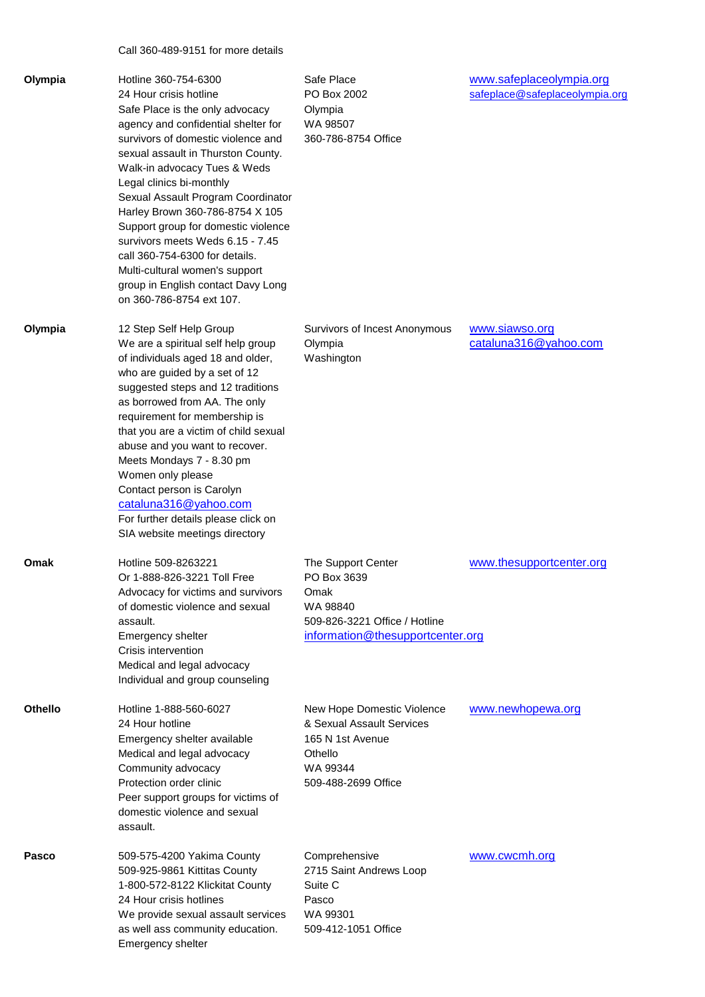Call 360-489-9151 for more details

| Olympia | Hotline 360-754-6300<br>24 Hour crisis hotline<br>Safe Place is the only advocacy<br>agency and confidential shelter for<br>survivors of domestic violence and<br>sexual assault in Thurston County.<br>Walk-in advocacy Tues & Weds<br>Legal clinics bi-monthly<br>Sexual Assault Program Coordinator<br>Harley Brown 360-786-8754 X 105<br>Support group for domestic violence<br>survivors meets Weds 6.15 - 7.45<br>call 360-754-6300 for details.<br>Multi-cultural women's support<br>group in English contact Davy Long<br>on 360-786-8754 ext 107. | Safe Place<br>PO Box 2002<br>Olympia<br>WA 98507<br>360-786-8754 Office                                                    | www.safeplaceolympia.org<br>safeplace@safeplaceolympia.org |
|---------|------------------------------------------------------------------------------------------------------------------------------------------------------------------------------------------------------------------------------------------------------------------------------------------------------------------------------------------------------------------------------------------------------------------------------------------------------------------------------------------------------------------------------------------------------------|----------------------------------------------------------------------------------------------------------------------------|------------------------------------------------------------|
| Olympia | 12 Step Self Help Group<br>We are a spiritual self help group<br>of individuals aged 18 and older,<br>who are guided by a set of 12<br>suggested steps and 12 traditions<br>as borrowed from AA. The only<br>requirement for membership is<br>that you are a victim of child sexual<br>abuse and you want to recover.<br>Meets Mondays 7 - 8.30 pm<br>Women only please<br>Contact person is Carolyn<br>cataluna316@yahoo.com<br>For further details please click on<br>SIA website meetings directory                                                     | Survivors of Incest Anonymous<br>Olympia<br>Washington                                                                     | www.siawso.org<br>cataluna316@yahoo.com                    |
| Omak    | Hotline 509-8263221<br>Or 1-888-826-3221 Toll Free<br>Advocacy for victims and survivors<br>of domestic violence and sexual<br>assault.<br>Emergency shelter<br>Crisis intervention<br>Medical and legal advocacy<br>Individual and group counseling                                                                                                                                                                                                                                                                                                       | The Support Center<br>PO Box 3639<br>Omak<br>WA 98840<br>509-826-3221 Office / Hotline<br>information@thesupportcenter.org | www.thesupportcenter.org                                   |
| Othello | Hotline 1-888-560-6027<br>24 Hour hotline<br>Emergency shelter available<br>Medical and legal advocacy<br>Community advocacy<br>Protection order clinic<br>Peer support groups for victims of<br>domestic violence and sexual<br>assault.                                                                                                                                                                                                                                                                                                                  | New Hope Domestic Violence<br>& Sexual Assault Services<br>165 N 1st Avenue<br>Othello<br>WA 99344<br>509-488-2699 Office  | www.newhopewa.org                                          |
| Pasco   | 509-575-4200 Yakima County<br>509-925-9861 Kittitas County<br>1-800-572-8122 Klickitat County<br>24 Hour crisis hotlines<br>We provide sexual assault services<br>as well ass community education.<br>Emergency shelter                                                                                                                                                                                                                                                                                                                                    | Comprehensive<br>2715 Saint Andrews Loop<br>Suite C<br>Pasco<br>WA 99301<br>509-412-1051 Office                            | www.cwcmh.org                                              |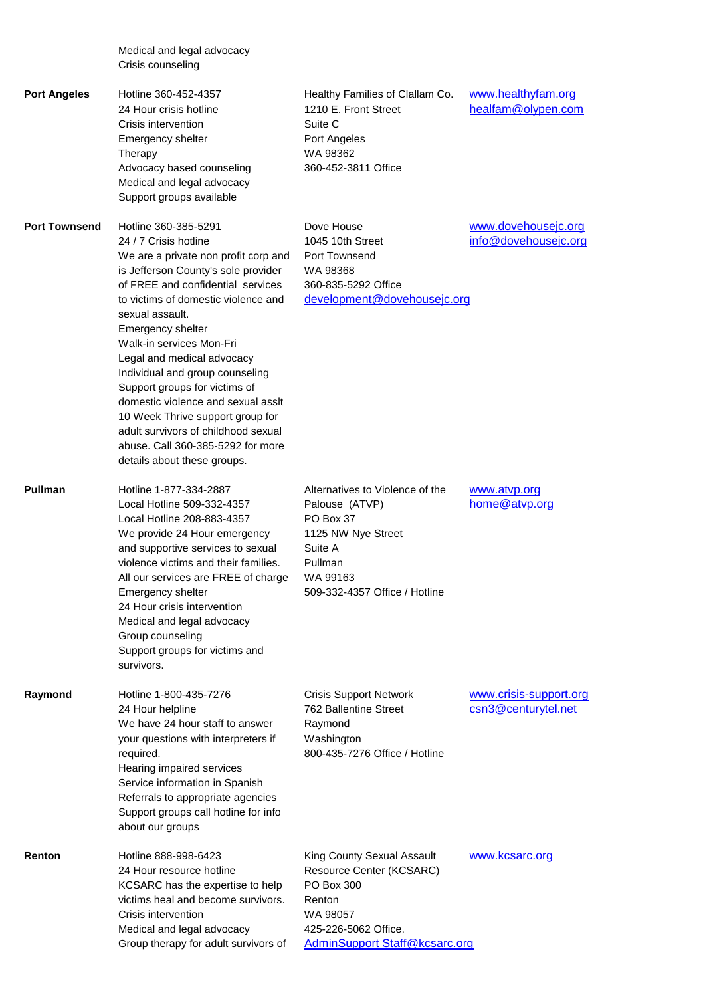|                      | Medical and legal advocacy<br>Crisis counseling                                                                                                                                                                                                                                                                                                                                                                                                                                                                                                                     |                                                                                                                                                                   |                                               |
|----------------------|---------------------------------------------------------------------------------------------------------------------------------------------------------------------------------------------------------------------------------------------------------------------------------------------------------------------------------------------------------------------------------------------------------------------------------------------------------------------------------------------------------------------------------------------------------------------|-------------------------------------------------------------------------------------------------------------------------------------------------------------------|-----------------------------------------------|
| <b>Port Angeles</b>  | Hotline 360-452-4357<br>24 Hour crisis hotline<br>Crisis intervention<br>Emergency shelter<br>Therapy<br>Advocacy based counseling<br>Medical and legal advocacy<br>Support groups available                                                                                                                                                                                                                                                                                                                                                                        | Healthy Families of Clallam Co.<br>1210 E. Front Street<br>Suite C<br>Port Angeles<br>WA 98362<br>360-452-3811 Office                                             | www.healthyfam.org<br>healfam@olypen.com      |
| <b>Port Townsend</b> | Hotline 360-385-5291<br>24 / 7 Crisis hotline<br>We are a private non profit corp and<br>is Jefferson County's sole provider<br>of FREE and confidential services<br>to victims of domestic violence and<br>sexual assault.<br>Emergency shelter<br>Walk-in services Mon-Fri<br>Legal and medical advocacy<br>Individual and group counseling<br>Support groups for victims of<br>domestic violence and sexual assit<br>10 Week Thrive support group for<br>adult survivors of childhood sexual<br>abuse. Call 360-385-5292 for more<br>details about these groups. | Dove House<br>1045 10th Street<br>Port Townsend<br>WA 98368<br>360-835-5292 Office<br>development@dovehousejc.org                                                 | www.dovehousejc.org<br>info@dovehousejc.org   |
| <b>Pullman</b>       | Hotline 1-877-334-2887<br>Local Hotline 509-332-4357<br>Local Hotline 208-883-4357<br>We provide 24 Hour emergency<br>and supportive services to sexual<br>violence victims and their families.<br>All our services are FREE of charge<br>Emergency shelter<br>24 Hour crisis intervention<br>Medical and legal advocacy<br>Group counseling<br>Support groups for victims and<br>survivors.                                                                                                                                                                        | Alternatives to Violence of the<br>Palouse (ATVP)<br>PO Box 37<br>1125 NW Nye Street<br>Suite A<br>Pullman<br>WA 99163<br>509-332-4357 Office / Hotline           | www.atvp.org<br>home@atvp.org                 |
| Raymond              | Hotline 1-800-435-7276<br>24 Hour helpline<br>We have 24 hour staff to answer<br>your questions with interpreters if<br>required.<br>Hearing impaired services<br>Service information in Spanish<br>Referrals to appropriate agencies<br>Support groups call hotline for info<br>about our groups                                                                                                                                                                                                                                                                   | <b>Crisis Support Network</b><br>762 Ballentine Street<br>Raymond<br>Washington<br>800-435-7276 Office / Hotline                                                  | www.crisis-support.org<br>csn3@centurytel.net |
| Renton               | Hotline 888-998-6423<br>24 Hour resource hotline<br>KCSARC has the expertise to help<br>victims heal and become survivors.<br>Crisis intervention<br>Medical and legal advocacy<br>Group therapy for adult survivors of                                                                                                                                                                                                                                                                                                                                             | King County Sexual Assault<br>Resource Center (KCSARC)<br><b>PO Box 300</b><br>Renton<br>WA 98057<br>425-226-5062 Office.<br><b>AdminSupport Staff@kcsarc.org</b> | www.kcsarc.org                                |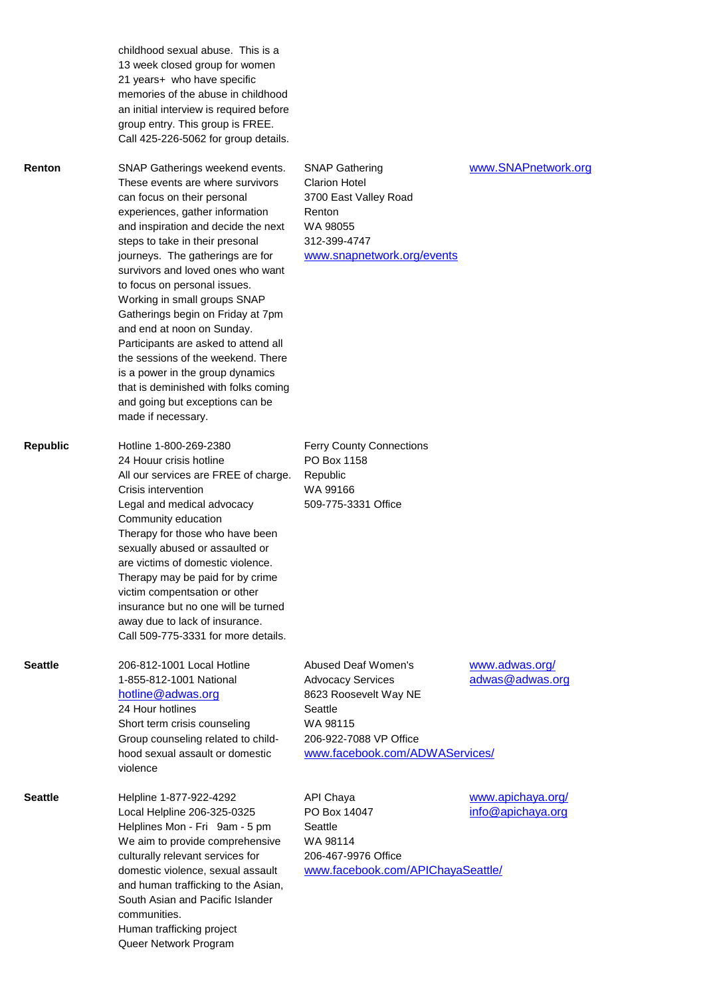|                 | childhood sexual abuse. This is a<br>13 week closed group for women<br>21 years+ who have specific<br>memories of the abuse in childhood<br>an initial interview is required before<br>group entry. This group is FREE.<br>Call 425-226-5062 for group details.                                                                                                                                                                                                                                                                                                                                                                                |                                                                                                                                                                    |                                        |
|-----------------|------------------------------------------------------------------------------------------------------------------------------------------------------------------------------------------------------------------------------------------------------------------------------------------------------------------------------------------------------------------------------------------------------------------------------------------------------------------------------------------------------------------------------------------------------------------------------------------------------------------------------------------------|--------------------------------------------------------------------------------------------------------------------------------------------------------------------|----------------------------------------|
| Renton          | SNAP Gatherings weekend events.<br>These events are where survivors<br>can focus on their personal<br>experiences, gather information<br>and inspiration and decide the next<br>steps to take in their presonal<br>journeys. The gatherings are for<br>survivors and loved ones who want<br>to focus on personal issues.<br>Working in small groups SNAP<br>Gatherings begin on Friday at 7pm<br>and end at noon on Sunday.<br>Participants are asked to attend all<br>the sessions of the weekend. There<br>is a power in the group dynamics<br>that is deminished with folks coming<br>and going but exceptions can be<br>made if necessary. | <b>SNAP Gathering</b><br><b>Clarion Hotel</b><br>3700 East Valley Road<br>Renton<br>WA 98055<br>312-399-4747<br>www.snapnetwork.org/events                         | www.SNAPnetwork.org                    |
| <b>Republic</b> | Hotline 1-800-269-2380<br>24 Houur crisis hotline<br>All our services are FREE of charge.<br>Crisis intervention<br>Legal and medical advocacy<br>Community education<br>Therapy for those who have been<br>sexually abused or assaulted or<br>are victims of domestic violence.<br>Therapy may be paid for by crime<br>victim compentsation or other<br>insurance but no one will be turned<br>away due to lack of insurance.<br>Call 509-775-3331 for more details.                                                                                                                                                                          | <b>Ferry County Connections</b><br>PO Box 1158<br>Republic<br>WA 99166<br>509-775-3331 Office                                                                      |                                        |
| <b>Seattle</b>  | 206-812-1001 Local Hotline<br>1-855-812-1001 National<br>hotline@adwas.org<br>24 Hour hotlines<br>Short term crisis counseling<br>Group counseling related to child-<br>hood sexual assault or domestic<br>violence                                                                                                                                                                                                                                                                                                                                                                                                                            | <b>Abused Deaf Women's</b><br><b>Advocacy Services</b><br>8623 Roosevelt Way NE<br>Seattle<br>WA 98115<br>206-922-7088 VP Office<br>www.facebook.com/ADWAServices/ | www.adwas.org/<br>adwas@adwas.org      |
| <b>Seattle</b>  | Helpline 1-877-922-4292<br>Local Helpline 206-325-0325<br>Helplines Mon - Fri 9am - 5 pm<br>We aim to provide comprehensive<br>culturally relevant services for<br>domestic violence, sexual assault<br>and human trafficking to the Asian,<br>South Asian and Pacific Islander<br>communities.<br>Human trafficking project<br>Queer Network Program                                                                                                                                                                                                                                                                                          | <b>API Chaya</b><br>PO Box 14047<br>Seattle<br>WA 98114<br>206-467-9976 Office<br>www.facebook.com/APIChayaSeattle/                                                | www.apichaya.org/<br>info@apichaya.org |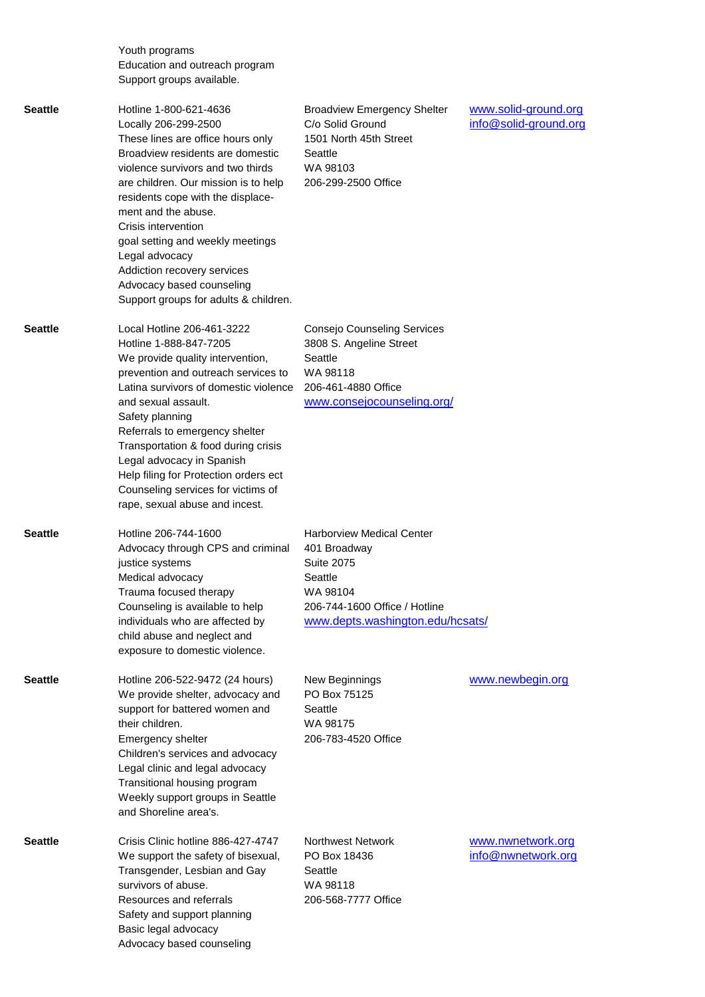| Youth programs                 |  |
|--------------------------------|--|
| Education and outreach program |  |
| Support groups available.      |  |

Seattle **Hotline 1-800-621-4636** Broadview Emergency Shelter Way and Solid-ground.org Locally 206-299-2500 C/o Solid Ground containing the example of the United States of the United States Contain These lines are office hours only 1501 North 45th Street Broadview residents are domestic Seattle violence survivors and two thirds WA 98103 are children. Our mission is to help 206-299-2500 Office residents cope with the displacement and the abuse. Crisis intervention goal setting and weekly meetings Legal advocacy Addiction recovery services Advocacy based counseling

|         | Legal advocacy<br>Addiction recovery services<br>Advocacy based counseling<br>Support groups for adults & children.                                                                                                                                                                                                                                                                                                                       |                                                                                                                                                                   |                                         |
|---------|-------------------------------------------------------------------------------------------------------------------------------------------------------------------------------------------------------------------------------------------------------------------------------------------------------------------------------------------------------------------------------------------------------------------------------------------|-------------------------------------------------------------------------------------------------------------------------------------------------------------------|-----------------------------------------|
| Seattle | Local Hotline 206-461-3222<br>Hotline 1-888-847-7205<br>We provide quality intervention,<br>prevention and outreach services to<br>Latina survivors of domestic violence<br>and sexual assault.<br>Safety planning<br>Referrals to emergency shelter<br>Transportation & food during crisis<br>Legal advocacy in Spanish<br>Help filing for Protection orders ect<br>Counseling services for victims of<br>rape, sexual abuse and incest. | Consejo Counseling Services<br>3808 S. Angeline Street<br>Seattle<br>WA 98118<br>206-461-4880 Office<br>www.consejocounseling.org/                                |                                         |
| Seattle | Hotline 206-744-1600<br>Advocacy through CPS and criminal<br>justice systems<br>Medical advocacy<br>Trauma focused therapy<br>Counseling is available to help<br>individuals who are affected by<br>child abuse and neglect and<br>exposure to domestic violence.                                                                                                                                                                         | <b>Harborview Medical Center</b><br>401 Broadway<br><b>Suite 2075</b><br>Seattle<br>WA 98104<br>206-744-1600 Office / Hotline<br>www.depts.washington.edu/hcsats/ |                                         |
| Seattle | Hotline 206-522-9472 (24 hours)<br>We provide shelter, advocacy and<br>support for battered women and<br>their children.<br>Emergency shelter<br>Children's services and advocacy<br>Legal clinic and legal advocacy<br>Transitional housing program<br>Weekly support groups in Seattle<br>and Shoreline area's.                                                                                                                         | New Beginnings<br>PO Box 75125<br>Seattle<br>WA 98175<br>206-783-4520 Office                                                                                      | www.newbegin.org                        |
| Seattle | Crisis Clinic hotline 886-427-4747<br>We support the safety of bisexual,<br>Transgender, Lesbian and Gay<br>survivors of abuse.<br>Resources and referrals<br>Safety and support planning<br>Basic legal advocacy<br>Advocacy based counseling                                                                                                                                                                                            | <b>Northwest Network</b><br>PO Box 18436<br>Seattle<br>WA 98118<br>206-568-7777 Office                                                                            | www.nwnetwork.org<br>info@nwnetwork.org |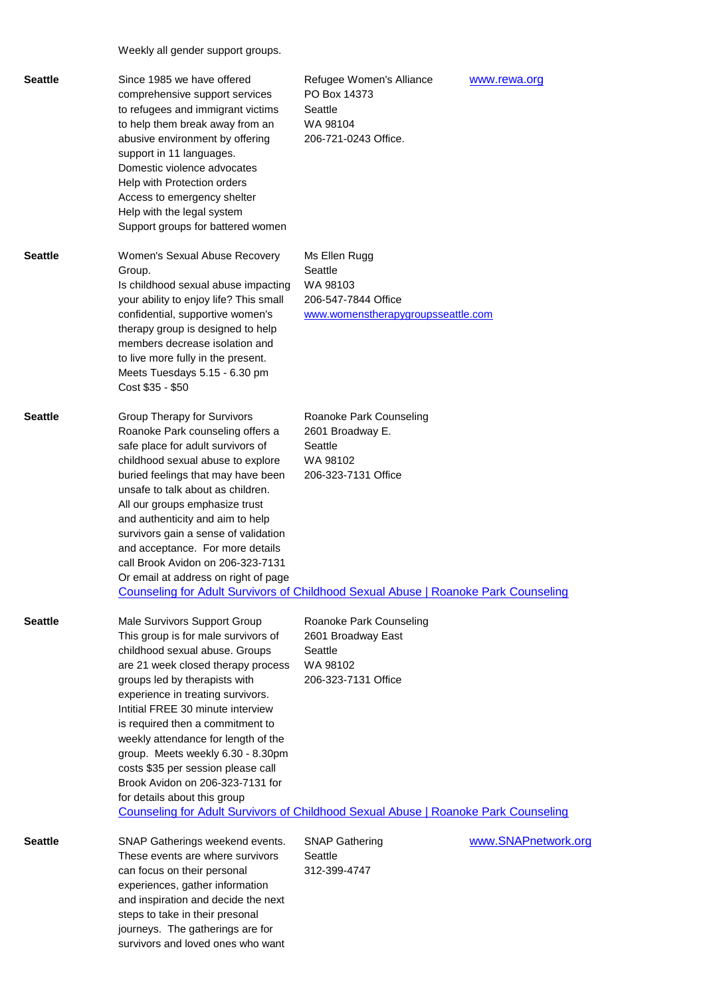Weekly all gender support groups.

| <b>Seattle</b> | Since 1985 we have offered<br>comprehensive support services<br>to refugees and immigrant victims<br>to help them break away from an<br>abusive environment by offering<br>support in 11 languages.<br>Domestic violence advocates<br>Help with Protection orders<br>Access to emergency shelter<br>Help with the legal system<br>Support groups for battered women                                                                                                                                                                                                           | Refugee Women's Alliance<br>PO Box 14373<br>Seattle<br>WA 98104<br>206-721-0243 Office.           | www.rewa.org        |
|----------------|-------------------------------------------------------------------------------------------------------------------------------------------------------------------------------------------------------------------------------------------------------------------------------------------------------------------------------------------------------------------------------------------------------------------------------------------------------------------------------------------------------------------------------------------------------------------------------|---------------------------------------------------------------------------------------------------|---------------------|
| <b>Seattle</b> | Women's Sexual Abuse Recovery<br>Group.<br>Is childhood sexual abuse impacting<br>your ability to enjoy life? This small<br>confidential, supportive women's<br>therapy group is designed to help<br>members decrease isolation and<br>to live more fully in the present.<br>Meets Tuesdays 5.15 - 6.30 pm<br>Cost \$35 - \$50                                                                                                                                                                                                                                                | Ms Ellen Rugg<br>Seattle<br>WA 98103<br>206-547-7844 Office<br>www.womenstherapygroupsseattle.com |                     |
| <b>Seattle</b> | Group Therapy for Survivors<br>Roanoke Park counseling offers a<br>safe place for adult survivors of<br>childhood sexual abuse to explore<br>buried feelings that may have been<br>unsafe to talk about as children.<br>All our groups emphasize trust<br>and authenticity and aim to help<br>survivors gain a sense of validation<br>and acceptance. For more details<br>call Brook Avidon on 206-323-7131<br>Or email at address on right of page<br>Counseling for Adult Survivors of Childhood Sexual Abuse   Roanoke Park Counseling                                     | Roanoke Park Counseling<br>2601 Broadway E.<br>Seattle<br>WA 98102<br>206-323-7131 Office         |                     |
| <b>Seattle</b> | Male Survivors Support Group<br>This group is for male survivors of<br>childhood sexual abuse. Groups<br>are 21 week closed therapy process<br>groups led by therapists with<br>experience in treating survivors.<br>Intitial FREE 30 minute interview<br>is required then a commitment to<br>weekly attendance for length of the<br>group. Meets weekly 6.30 - 8.30pm<br>costs \$35 per session please call<br>Brook Avidon on 206-323-7131 for<br>for details about this group<br><b>Counseling for Adult Survivors of Childhood Sexual Abuse   Roanoke Park Counseling</b> | Roanoke Park Counseling<br>2601 Broadway East<br>Seattle<br>WA 98102<br>206-323-7131 Office       |                     |
| <b>Seattle</b> | SNAP Gatherings weekend events.<br>These events are where survivors<br>can focus on their personal<br>experiences, gather information<br>and inspiration and decide the next<br>steps to take in their presonal<br>journeys. The gatherings are for<br>survivors and loved ones who want                                                                                                                                                                                                                                                                                      | <b>SNAP Gathering</b><br>Seattle<br>312-399-4747                                                  | www.SNAPnetwork.org |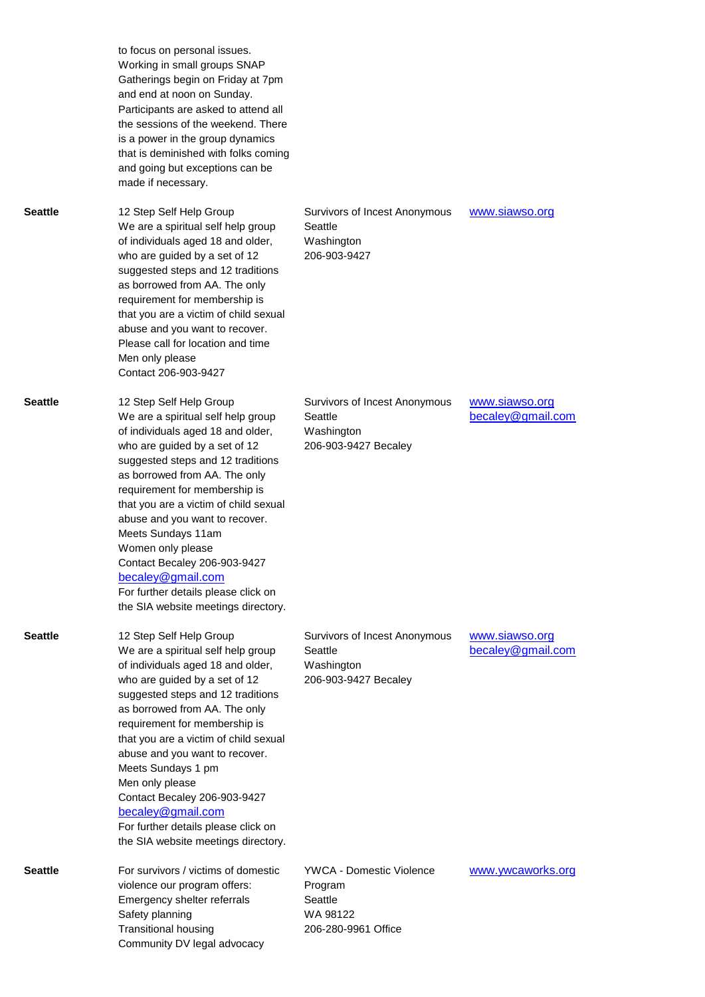|                | to focus on personal issues.<br>Working in small groups SNAP<br>Gatherings begin on Friday at 7pm<br>and end at noon on Sunday.<br>Participants are asked to attend all<br>the sessions of the weekend. There<br>is a power in the group dynamics<br>that is deminished with folks coming<br>and going but exceptions can be<br>made if necessary.                                                                                                                                                  |                                                                                   |                                     |
|----------------|-----------------------------------------------------------------------------------------------------------------------------------------------------------------------------------------------------------------------------------------------------------------------------------------------------------------------------------------------------------------------------------------------------------------------------------------------------------------------------------------------------|-----------------------------------------------------------------------------------|-------------------------------------|
| <b>Seattle</b> | 12 Step Self Help Group<br>We are a spiritual self help group<br>of individuals aged 18 and older,<br>who are guided by a set of 12<br>suggested steps and 12 traditions<br>as borrowed from AA. The only<br>requirement for membership is<br>that you are a victim of child sexual<br>abuse and you want to recover.<br>Please call for location and time<br>Men only please<br>Contact 206-903-9427                                                                                               | Survivors of Incest Anonymous<br>Seattle<br>Washington<br>206-903-9427            | www.siawso.org                      |
| <b>Seattle</b> | 12 Step Self Help Group<br>We are a spiritual self help group<br>of individuals aged 18 and older,<br>who are guided by a set of 12<br>suggested steps and 12 traditions<br>as borrowed from AA. The only<br>requirement for membership is<br>that you are a victim of child sexual<br>abuse and you want to recover.<br>Meets Sundays 11am<br>Women only please<br>Contact Becaley 206-903-9427<br>becaley@gmail.com<br>For further details please click on<br>the SIA website meetings directory. | Survivors of Incest Anonymous<br>Seattle<br>Washington<br>206-903-9427 Becaley    | www.siawso.org<br>becaley@gmail.com |
| <b>Seattle</b> | 12 Step Self Help Group<br>We are a spiritual self help group<br>of individuals aged 18 and older,<br>who are guided by a set of 12<br>suggested steps and 12 traditions<br>as borrowed from AA. The only<br>requirement for membership is<br>that you are a victim of child sexual<br>abuse and you want to recover.<br>Meets Sundays 1 pm<br>Men only please<br>Contact Becaley 206-903-9427<br>becaley@gmail.com<br>For further details please click on<br>the SIA website meetings directory.   | Survivors of Incest Anonymous<br>Seattle<br>Washington<br>206-903-9427 Becaley    | www.siawso.org<br>becaley@gmail.com |
| <b>Seattle</b> | For survivors / victims of domestic<br>violence our program offers:<br>Emergency shelter referrals<br>Safety planning<br><b>Transitional housing</b><br>Community DV legal advocacy                                                                                                                                                                                                                                                                                                                 | YWCA - Domestic Violence<br>Program<br>Seattle<br>WA 98122<br>206-280-9961 Office | www.ywcaworks.org                   |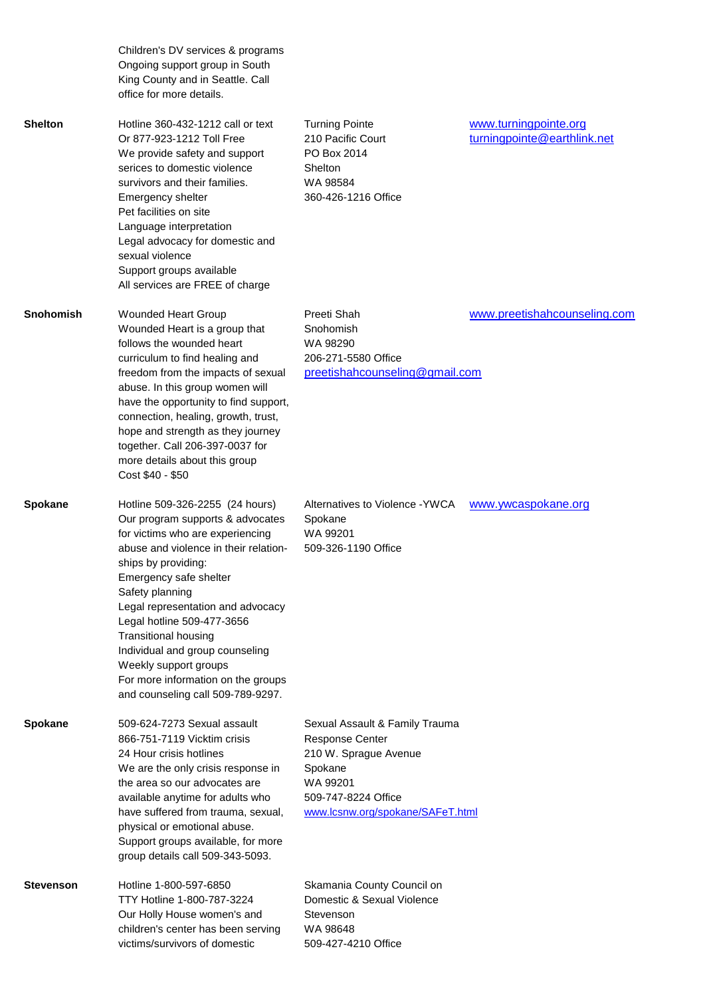|                | Children's DV services & programs<br>Ongoing support group in South<br>King County and in Seattle. Call<br>office for more details.                                                                                                                                                                                                                                                                                                                           |                                                                                                                                                                     |                                                      |
|----------------|---------------------------------------------------------------------------------------------------------------------------------------------------------------------------------------------------------------------------------------------------------------------------------------------------------------------------------------------------------------------------------------------------------------------------------------------------------------|---------------------------------------------------------------------------------------------------------------------------------------------------------------------|------------------------------------------------------|
| Shelton        | Hotline 360-432-1212 call or text<br>Or 877-923-1212 Toll Free<br>We provide safety and support<br>serices to domestic violence<br>survivors and their families.<br>Emergency shelter<br>Pet facilities on site<br>Language interpretation<br>Legal advocacy for domestic and<br>sexual violence<br>Support groups available<br>All services are FREE of charge                                                                                               | <b>Turning Pointe</b><br>210 Pacific Court<br>PO Box 2014<br>Shelton<br>WA 98584<br>360-426-1216 Office                                                             | www.turningpointe.org<br>turningpointe@earthlink.net |
| Snohomish      | Wounded Heart Group<br>Wounded Heart is a group that<br>follows the wounded heart<br>curriculum to find healing and<br>freedom from the impacts of sexual<br>abuse. In this group women will<br>have the opportunity to find support,<br>connection, healing, growth, trust,<br>hope and strength as they journey<br>together. Call 206-397-0037 for<br>more details about this group<br>Cost \$40 - \$50                                                     | Preeti Shah<br>Snohomish<br>WA 98290<br>206-271-5580 Office<br>preetishahcounseling@gmail.com                                                                       | www.preetishahcounseling.com                         |
| <b>Spokane</b> | Hotline 509-326-2255 (24 hours)<br>Our program supports & advocates<br>for victims who are experiencing<br>abuse and violence in their relation-<br>ships by providing:<br>Emergency safe shelter<br>Safety planning<br>Legal representation and advocacy<br>Legal hotline 509-477-3656<br><b>Transitional housing</b><br>Individual and group counseling<br>Weekly support groups<br>For more information on the groups<br>and counseling call 509-789-9297. | Alternatives to Violence - YWCA<br>Spokane<br>WA 99201<br>509-326-1190 Office                                                                                       | www.ywcaspokane.org                                  |
| <b>Spokane</b> | 509-624-7273 Sexual assault<br>866-751-7119 Vicktim crisis<br>24 Hour crisis hotlines<br>We are the only crisis response in<br>the area so our advocates are<br>available anytime for adults who<br>have suffered from trauma, sexual,<br>physical or emotional abuse.<br>Support groups available, for more<br>group details call 509-343-5093.                                                                                                              | Sexual Assault & Family Trauma<br><b>Response Center</b><br>210 W. Sprague Avenue<br>Spokane<br>WA 99201<br>509-747-8224 Office<br>www.lcsnw.org/spokane/SAFeT.html |                                                      |
| Stevenson      | Hotline 1-800-597-6850<br>TTY Hotline 1-800-787-3224<br>Our Holly House women's and<br>children's center has been serving<br>victims/survivors of domestic                                                                                                                                                                                                                                                                                                    | Skamania County Council on<br>Domestic & Sexual Violence<br>Stevenson<br>WA 98648<br>509-427-4210 Office                                                            |                                                      |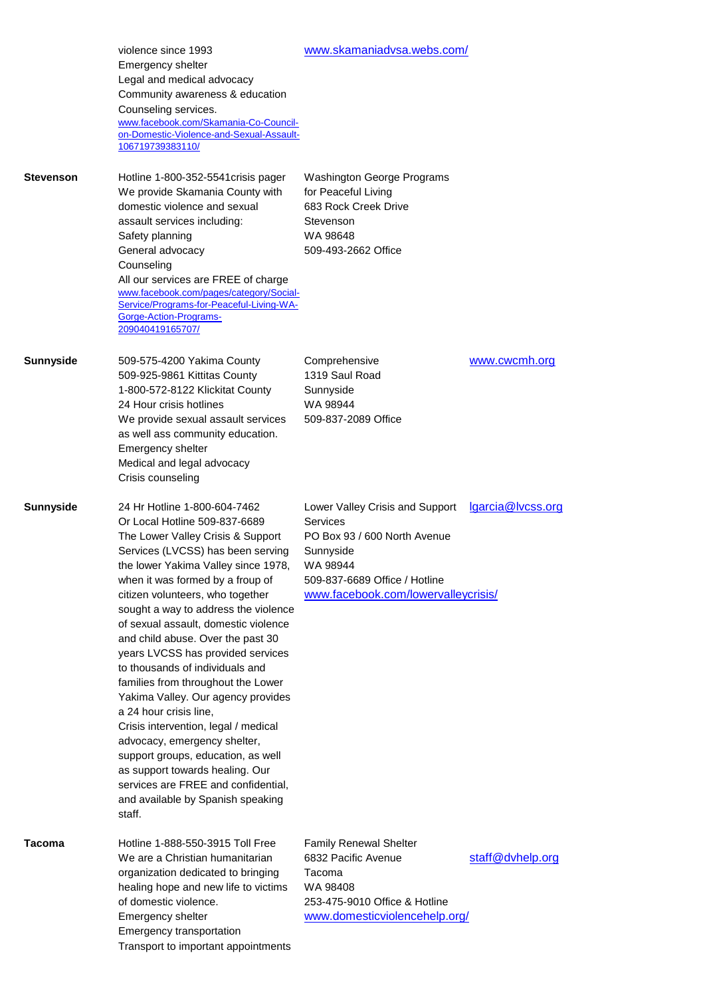|                  | violence since 1993<br>Emergency shelter<br>Legal and medical advocacy<br>Community awareness & education<br>Counseling services.<br>www.facebook.com/Skamania-Co-Council-<br>on-Domestic-Violence-and-Sexual-Assault-<br>106719739383110/                                                                                                                                                                                                                                                                                                                                                                                                                                                                                                                                                       | www.skamaniadvsa.webs.com/                                                                                                                                                   |                   |
|------------------|--------------------------------------------------------------------------------------------------------------------------------------------------------------------------------------------------------------------------------------------------------------------------------------------------------------------------------------------------------------------------------------------------------------------------------------------------------------------------------------------------------------------------------------------------------------------------------------------------------------------------------------------------------------------------------------------------------------------------------------------------------------------------------------------------|------------------------------------------------------------------------------------------------------------------------------------------------------------------------------|-------------------|
| <b>Stevenson</b> | Hotline 1-800-352-5541 crisis pager<br>We provide Skamania County with<br>domestic violence and sexual<br>assault services including:<br>Safety planning<br>General advocacy<br>Counseling<br>All our services are FREE of charge<br>www.facebook.com/pages/category/Social-<br>Service/Programs-for-Peaceful-Living-WA-<br>Gorge-Action-Programs-<br>209040419165707/                                                                                                                                                                                                                                                                                                                                                                                                                           | <b>Washington George Programs</b><br>for Peaceful Living<br>683 Rock Creek Drive<br>Stevenson<br>WA 98648<br>509-493-2662 Office                                             |                   |
| <b>Sunnyside</b> | 509-575-4200 Yakima County<br>509-925-9861 Kittitas County<br>1-800-572-8122 Klickitat County<br>24 Hour crisis hotlines<br>We provide sexual assault services<br>as well ass community education.<br>Emergency shelter<br>Medical and legal advocacy<br>Crisis counseling                                                                                                                                                                                                                                                                                                                                                                                                                                                                                                                       | Comprehensive<br>1319 Saul Road<br>Sunnyside<br>WA 98944<br>509-837-2089 Office                                                                                              | www.cwcmh.org     |
| <b>Sunnyside</b> | 24 Hr Hotline 1-800-604-7462<br>Or Local Hotline 509-837-6689<br>The Lower Valley Crisis & Support<br>Services (LVCSS) has been serving<br>the lower Yakima Valley since 1978,<br>when it was formed by a froup of<br>citizen volunteers, who together<br>sought a way to address the violence<br>of sexual assault, domestic violence<br>and child abuse. Over the past 30<br>years LVCSS has provided services<br>to thousands of individuals and<br>families from throughout the Lower<br>Yakima Valley. Our agency provides<br>a 24 hour crisis line,<br>Crisis intervention, legal / medical<br>advocacy, emergency shelter,<br>support groups, education, as well<br>as support towards healing. Our<br>services are FREE and confidential,<br>and available by Spanish speaking<br>staff. | Lower Valley Crisis and Support<br>Services<br>PO Box 93 / 600 North Avenue<br>Sunnyside<br>WA 98944<br>509-837-6689 Office / Hotline<br>www.facebook.com/lowervalleycrisis/ | lgarcia@lvcss.org |
| Tacoma           | Hotline 1-888-550-3915 Toll Free<br>We are a Christian humanitarian<br>organization dedicated to bringing<br>healing hope and new life to victims<br>of domestic violence.<br>Emergency shelter<br>Emergency transportation<br>Transport to important appointments                                                                                                                                                                                                                                                                                                                                                                                                                                                                                                                               | <b>Family Renewal Shelter</b><br>6832 Pacific Avenue<br>Tacoma<br>WA 98408<br>253-475-9010 Office & Hotline<br>www.domesticviolencehelp.org/                                 | staff@dvhelp.org  |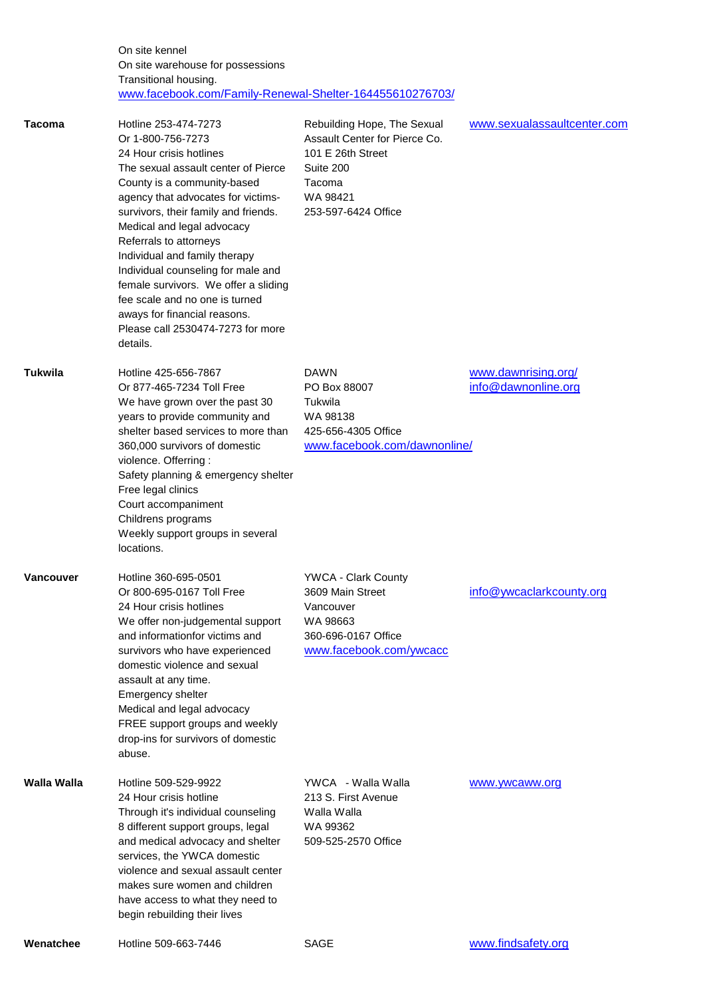On site kennel On site warehouse for possessions Transitional housing. [www.facebook.com/Family-Renewal-Shelter-164455610276703/](http://www.facebook.com/Family-Renewal-Shelter-164455610276703/)

| Tacoma           | Hotline 253-474-7273<br>Or 1-800-756-7273<br>24 Hour crisis hotlines<br>The sexual assault center of Pierce<br>County is a community-based<br>agency that advocates for victims-<br>survivors, their family and friends.<br>Medical and legal advocacy<br>Referrals to attorneys<br>Individual and family therapy<br>Individual counseling for male and<br>female survivors. We offer a sliding<br>fee scale and no one is turned<br>aways for financial reasons.<br>Please call 2530474-7273 for more<br>details. | Rebuilding Hope, The Sexual<br>Assault Center for Pierce Co.<br>101 E 26th Street<br>Suite 200<br>Tacoma<br>WA 98421<br>253-597-6424 Office | www.sexualassaultcenter.com                |
|------------------|--------------------------------------------------------------------------------------------------------------------------------------------------------------------------------------------------------------------------------------------------------------------------------------------------------------------------------------------------------------------------------------------------------------------------------------------------------------------------------------------------------------------|---------------------------------------------------------------------------------------------------------------------------------------------|--------------------------------------------|
| Tukwila          | Hotline 425-656-7867<br>Or 877-465-7234 Toll Free<br>We have grown over the past 30<br>years to provide community and<br>shelter based services to more than<br>360,000 survivors of domestic<br>violence. Offerring:<br>Safety planning & emergency shelter<br>Free legal clinics<br>Court accompaniment<br>Childrens programs<br>Weekly support groups in several<br>locations.                                                                                                                                  | DAWN<br>PO Box 88007<br>Tukwila<br>WA 98138<br>425-656-4305 Office<br>www.facebook.com/dawnonline/                                          | www.dawnrising.org/<br>info@dawnonline.org |
| <b>Vancouver</b> | Hotline 360-695-0501<br>Or 800-695-0167 Toll Free<br>24 Hour crisis hotlines<br>We offer non-judgemental support<br>and informationfor victims and<br>survivors who have experienced<br>domestic violence and sexual<br>assault at any time.<br>Emergency shelter<br>Medical and legal advocacy<br>FREE support groups and weekly<br>drop-ins for survivors of domestic<br>abuse.                                                                                                                                  | <b>YWCA - Clark County</b><br>3609 Main Street<br>Vancouver<br>WA 98663<br>360-696-0167 Office<br>www.facebook.com/ywcacc                   | info@ywcaclarkcounty.org                   |
| Walla Walla      | Hotline 509-529-9922<br>24 Hour crisis hotline<br>Through it's individual counseling<br>8 different support groups, legal<br>and medical advocacy and shelter<br>services, the YWCA domestic<br>violence and sexual assault center<br>makes sure women and children<br>have access to what they need to<br>begin rebuilding their lives                                                                                                                                                                            | YWCA - Walla Walla<br>213 S. First Avenue<br>Walla Walla<br>WA 99362<br>509-525-2570 Office                                                 | www.ywcaww.org                             |
| Wenatchee        | Hotline 509-663-7446                                                                                                                                                                                                                                                                                                                                                                                                                                                                                               | <b>SAGE</b>                                                                                                                                 | www.findsafety.org                         |